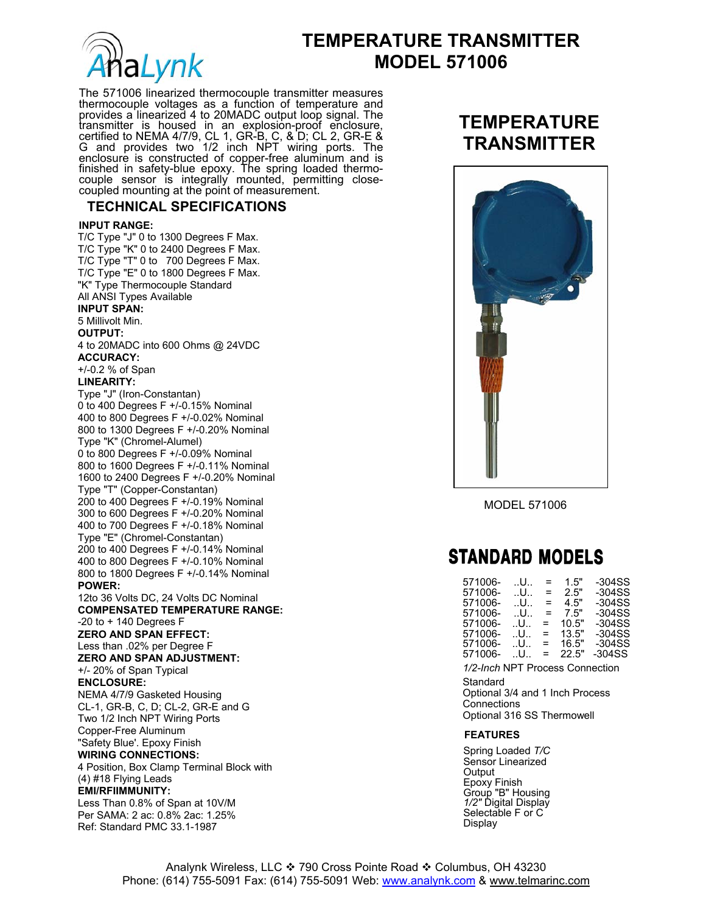

# **TEMPERATURE TRANSMITTER Malynk** MODEL 571006

The 571006 linearized thermocouple transmitter measures thermocouple voltages as a function of temperature and provides a linearized 4 to 20MADC output loop signal. The transmitter is housed in an explosion-proof enclosure, certified to NEMA 4/7/9, CL 1, GR-B, C, & D; CL 2, GR-E & G and provides two 1/2 inch NPT wiring ports. The enclosure is constructed of copper-free aluminum and is finished in safety-blue epoxy. The spring loaded thermocouple sensor is integrally mounted, permitting closecoupled mounting at the point of measurement.

### **TECHNICAL SPECIFICATIONS**

#### **INPUT RANGE:**

T/C Type "J" 0 to 1300 Degrees F Max. T/C Type "K" 0 to 2400 Degrees F Max. T/C Type "T" 0 to 700 Degrees F Max. T/C Type "E" 0 to 1800 Degrees F Max. "K" Type Thermocouple Standard All ANSI Types Available **INPUT SPAN:**  5 Millivolt Min. **OUTPUT:**  4 to 20MADC into 600 Ohms @ 24VDC **ACCURACY:**  +/-0.2 % of Span **LINEARITY:**  Type "J" (Iron-Constantan) 0 to 400 Degrees F +/-0.15% Nominal 400 to 800 Degrees F +/-0.02% Nominal 800 to 1300 Degrees F +/-0.20% Nominal Type "K" (Chromel-Alumel) 0 to 800 Degrees F +/-0.09% Nominal 800 to 1600 Degrees F +/-0.11% Nominal 1600 to 2400 Degrees F +/-0.20% Nominal Type "T" (Copper-Constantan) 200 to 400 Degrees F +/-0.19% Nominal 300 to 600 Degrees F +/-0.20% Nominal 400 to 700 Degrees F +/-0.18% Nominal Type "E" (Chromel-Constantan) 200 to 400 Degrees F +/-0.14% Nominal 400 to 800 Degrees F +/-0.10% Nominal 800 to 1800 Degrees F +/-0.14% Nominal **POWER:**  12to 36 Volts DC, 24 Volts DC Nominal **COMPENSATED TEMPERATURE RANGE:**   $-20$  to  $+140$  Degrees F **ZERO AND SPAN EFFECT:**  Less than .02% per Degree F **ZERO AND SPAN ADJUSTMENT:**  +/- 20% of Span Typical **ENCLOSURE:**  NEMA 4/7/9 Gasketed Housing CL-1, GR-B, C, D; CL-2, GR-E and G Two 1/2 Inch NPT Wiring Ports Copper-Free Aluminum "Safety Blue'. Epoxy Finish **WIRING CONNECTIONS:**  4 Position, Box Clamp Terminal Block with (4) #18 Flying Leads **EMI/RFIIMMUNITY:**  Less Than 0.8% of Span at 10V/M Per SAMA: 2 ac: 0.8% 2ac: 1.25% Ref: Standard PMC 33.1-1987

### **TEMPERATURE TRANSMITTER**



MODEL 571006

## **STANDARD MODELS**

| 571006-                         | U     | =   | 1.5"  | -304SS    |
|---------------------------------|-------|-----|-------|-----------|
| 571006-                         | U     | $=$ | 2.5"  | $-304SS$  |
| 571006-                         | U     | $=$ | 4.5"  | $-304SS$  |
| 571006-                         | U     | $=$ | 7.5"  | $-304SS$  |
| 571006-                         | U     | $=$ | 10.5" | $-304SS$  |
| 571006-                         | U     | $=$ | 13.5" | $-304SS$  |
| 571006-                         | U     | $=$ | 16.5" | $-304SS$  |
| 571006-                         | . U., | $=$ | 22.5" | $-304$ SS |
| 1/2-Inch NPT Process Connection |       |     |       |           |
| Standard                        |       |     |       |           |
| Optional 3/4 and 1 Inch Process |       |     |       |           |
| Connections                     |       |     |       |           |
| Optional 316 SS Thermowell      |       |     |       |           |
|                                 |       |     |       |           |
| <b>FEATURES</b>                 |       |     |       |           |

Spring Loaded *T/C*  Sensor Linearized **Output** Epoxy Finish Group "B" Housing *1/2"* Digital Display Selectable F or C Display